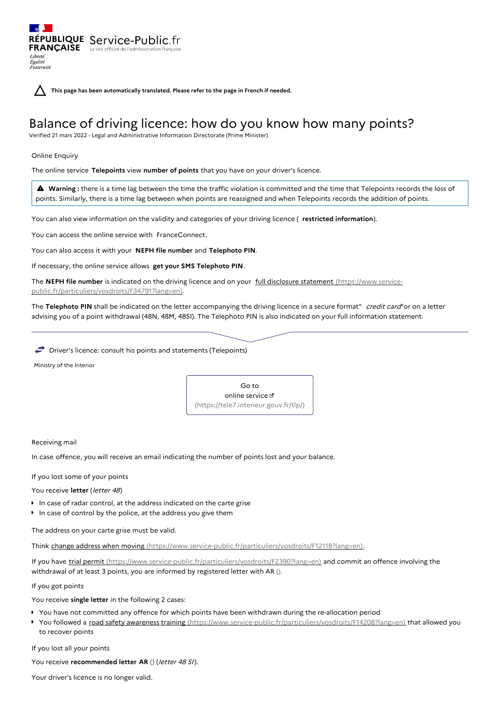**This page has been automatically translated. Please refer to the page in French if needed.**

# Balance of driving licence: how do you know how many points?

Verified 21 mars 2022 - Legal and Administrative Information Directorate (Prime Minister)

Online Enquiry

Liberté Égalité<br>Fraternité

The online service **Telepoints** view **number of points** that you have on your driver's licence.

 **Warning :** there is <sup>a</sup> time lag between the time the traffic violation is committed and the time that Telepoints records the loss of points. Similarly, there is a time lag between when points are reassigned and when Telepoints records the addition of points.

You can also view information on the validity and categories of your driving licence ( **restricted information**).

You can access the online service with FranceConnect.

RÉPUBLIQUE Service-Public.fr **FRANÇAISE** Le site officiel de l'administration

You can also access it with your **NEPH file number** and **Telephoto PIN**.

If necessary, the online service allows **get your SMS Telephoto PIN**.

The **NEPH file number** is indicated on the driving licence and on your full disclosure statement (https://www.service[public.fr/particuliers/vosdroits/F34791?lang=en\).](https://www.service-public.fr/particuliers/vosdroits/F34791?lang=en)

The **Telephoto PIN** shall be indicated on the letter accompanying the driving licence in a secure format" credit card"or on a letter advising you of a point withdrawal (48N, 48M, 48SI). The Telephoto PIN is also indicated on your full information statement.

 $\blacktriangleright$  Driver's licence: consult his points and statements (Telepoints)

Ministry of the Interior



Receiving mail

In case offence, you will receive an email indicating the number of points lost and your balance.

If you lost some of your points

You receive letter (letter 48)

- In case of radar control, at the address indicated on the carte grise
- In case of control by the police, at the address you give them

The address on your carte grise must be valid.

Think change address when moving [\(https://www.service-public.fr/particuliers/vosdroits/F12118?lang=en\)](https://www.service-public.fr/particuliers/vosdroits/F12118?lang=en).

If you have trial permit [\(https://www.service-public.fr/particuliers/vosdroits/F2390?lang=en\)](https://www.service-public.fr/particuliers/vosdroits/F2390?lang=en) and commit an offence involving the withdrawal of at least 3 points, you are informed by registered letter with AR ().

If you got points

You receive **single letter** in the following 2 cases:

- You have not committed any offence for which points have been withdrawn during the re-allocation period
- You followed a road safety awareness training [\(https://www.service-public.fr/particuliers/vosdroits/F14208?lang=en\)](https://www.service-public.fr/particuliers/vosdroits/F14208?lang=en) that allowed you to recover points

If you lost all your points

You receive **recommended letter AR ()** (letter 48 SI).

Your driver's licence is no longer valid.